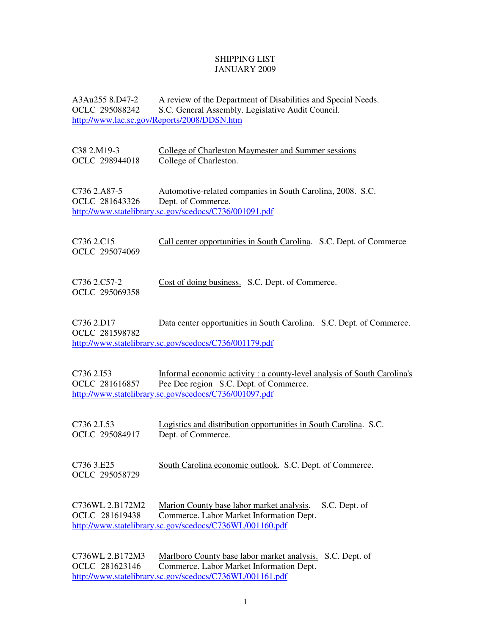## SHIPPING LIST JANUARY 2009

A3Au255 8.D47-2 A review of the Department of Disabilities and Special Needs.<br>OCLC 295088242 S.C. General Assembly. Legislative Audit Council. S.C. General Assembly. Legislative Audit Council. http://www.lac.sc.gov/Reports/2008/DDSN.htm

| C38 2.M19-3<br>OCLC 298944018     | College of Charleston Maymester and Summer sessions<br>College of Charleston.                                                                                               |
|-----------------------------------|-----------------------------------------------------------------------------------------------------------------------------------------------------------------------------|
| C736 2.A87-5<br>OCLC 281643326    | Automotive-related companies in South Carolina, 2008. S.C.<br>Dept. of Commerce.<br>http://www.statelibrary.sc.gov/scedocs/C736/001091.pdf                                  |
| C736 2.C15<br>OCLC 295074069      | Call center opportunities in South Carolina. S.C. Dept. of Commerce                                                                                                         |
| C736 2.C57-2<br>OCLC 295069358    | Cost of doing business. S.C. Dept. of Commerce.                                                                                                                             |
| C736 2.D17<br>OCLC 281598782      | Data center opportunities in South Carolina. S.C. Dept. of Commerce.<br>http://www.statelibrary.sc.gov/scedocs/C736/001179.pdf                                              |
| C736 2.I53<br>OCLC 281616857      | Informal economic activity: a county-level analysis of South Carolina's<br>Pee Dee region S.C. Dept. of Commerce.<br>http://www.statelibrary.sc.gov/scedocs/C736/001097.pdf |
| C736 2.L53<br>OCLC 295084917      | Logistics and distribution opportunities in South Carolina. S.C.<br>Dept. of Commerce.                                                                                      |
| C736 3.E25<br>OCLC 295058729      | South Carolina economic outlook. S.C. Dept. of Commerce.                                                                                                                    |
| C736WL 2.B172M2<br>OCLC 281619438 | Marion County base labor market analysis.<br>S.C. Dept. of<br>Commerce. Labor Market Information Dept.<br>http://www.statelibrary.sc.gov/scedocs/C736WL/001160.pdf          |
|                                   |                                                                                                                                                                             |

C736WL 2.B172M3 Marlboro County base labor market analysis. S.C. Dept. of OCLC 281623146 Commerce. Labor Market Information Dept. http://www.statelibrary.sc.gov/scedocs/C736WL/001161.pdf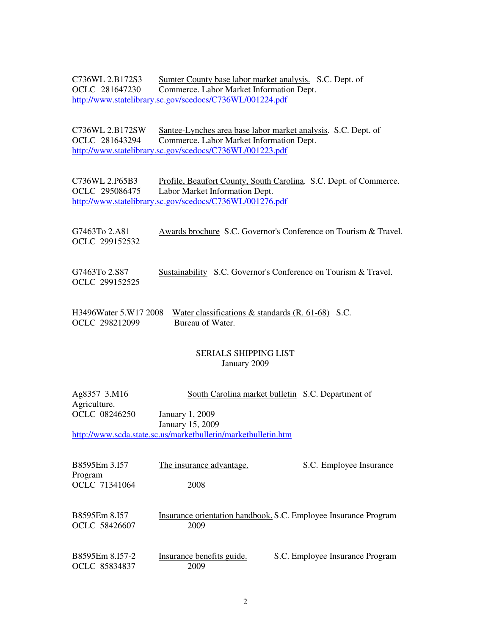C736WL 2.B172S3 Sumter County base labor market analysis. S.C. Dept. of OCLC 281647230 Commerce. Labor Market Information Dept. http://www.statelibrary.sc.gov/scedocs/C736WL/001224.pdf

C736WL 2.B172SW Santee-Lynches area base labor market analysis. S.C. Dept. of OCLC 281643294 Commerce. Labor Market Information Dept. http://www.statelibrary.sc.gov/scedocs/C736WL/001223.pdf

C736WL 2.P65B3 Profile, Beaufort County, South Carolina. S.C. Dept. of Commerce. OCLC 295086475 Labor Market Information Dept. http://www.statelibrary.sc.gov/scedocs/C736WL/001276.pdf

G7463To 2.A81 Awards brochure S.C. Governor's Conference on Tourism & Travel. OCLC 299152532

G7463To 2.S87 Sustainability S.C. Governor's Conference on Tourism & Travel. OCLC 299152525

H3496Water 5.W17 2008 Water classifications & standards (R. 61-68) S.C.<br>OCLC 298212099 Bureau of Water. OCLC 298212099

## SERIALS SHIPPING LIST January 2009

| Ag8357 3.M16  | South Carolina market bulletin S.C. Department of             |                         |
|---------------|---------------------------------------------------------------|-------------------------|
| Agriculture.  |                                                               |                         |
| OCLC 08246250 | <b>January 1, 2009</b>                                        |                         |
|               | January 15, 2009                                              |                         |
|               | http://www.scda.state.sc.us/marketbulletin/marketbulletin.htm |                         |
|               |                                                               |                         |
| B8595Em 3.I57 | The insurance advantage.                                      | S.C. Employee Insurance |
| Program       |                                                               |                         |

OCLC 71341064 2008

| B8595Em 8.I57 | Insurance orientation handbook, S.C. Employee Insurance Program |
|---------------|-----------------------------------------------------------------|
| OCLC 58426607 | 2009                                                            |

B8595Em 8.I57-2 Insurance benefits guide. S.C. Employee Insurance Program OCLC 85834837 2009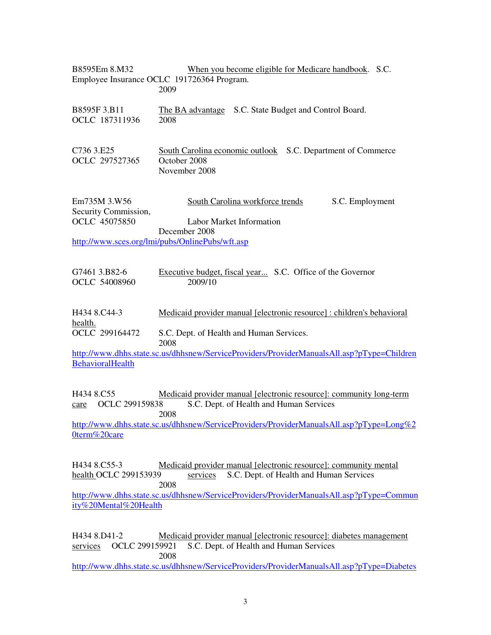| B8595Em 8.M32                                                  | When you become eligible for Medicare handbook. S.C.                                                                                                                                                                        |
|----------------------------------------------------------------|-----------------------------------------------------------------------------------------------------------------------------------------------------------------------------------------------------------------------------|
|                                                                | Employee Insurance OCLC 191726364 Program.<br>2009                                                                                                                                                                          |
| B8595F3.B11<br>OCLC 187311936                                  | The BA advantage S.C. State Budget and Control Board.<br>2008                                                                                                                                                               |
| C736 3.E25<br>OCLC 297527365                                   | South Carolina economic outlook S.C. Department of Commerce<br>October 2008<br>November 2008                                                                                                                                |
| Em735M 3.W56<br>Security Commission,<br><b>OCLC 45075850</b>   | South Carolina workforce trends<br>S.C. Employment<br>Labor Market Information<br>December 2008                                                                                                                             |
|                                                                | http://www.sces.org/lmi/pubs/OnlinePubs/wft.asp                                                                                                                                                                             |
| G7461 3.B82-6<br>OCLC 54008960                                 | Executive budget, fiscal year S.C. Office of the Governor<br>2009/10                                                                                                                                                        |
| H434 8.C44-3<br>health.                                        | Medicaid provider manual [electronic resource] : children's behavioral                                                                                                                                                      |
| OCLC 299164472                                                 | S.C. Dept. of Health and Human Services.<br>2008                                                                                                                                                                            |
| BehavioralHealth                                               | http://www.dhhs.state.sc.us/dhhsnew/ServiceProviders/ProviderManualsAll.asp?pType=Children                                                                                                                                  |
| H434 8.C55<br>OCLC 299159838<br>care                           | Medicaid provider manual [electronic resource]: community long-term<br>S.C. Dept. of Health and Human Services<br>2008                                                                                                      |
|                                                                | http://www.dhhs.state.sc.us/dhhsnew/ServiceProviders/ProviderManualsAll.asp?pType=Long%2                                                                                                                                    |
| 0term%20care                                                   |                                                                                                                                                                                                                             |
| H434 8.C55-3<br>health OCLC 299153939<br>ity%20Mental%20Health | Medicaid provider manual [electronic resource]: community mental<br>S.C. Dept. of Health and Human Services<br>services<br>2008<br>http://www.dhhs.state.sc.us/dhhsnew/ServiceProviders/ProviderManualsAll.asp?pType=Commun |
| H434 8.D41-2<br>OCLC 299159921<br>services                     | Medicaid provider manual [electronic resource]: diabetes management<br>S.C. Dept. of Health and Human Services<br>2008                                                                                                      |

http://www.dhhs.state.sc.us/dhhsnew/ServiceProviders/ProviderManualsAll.asp?pType=Diabetes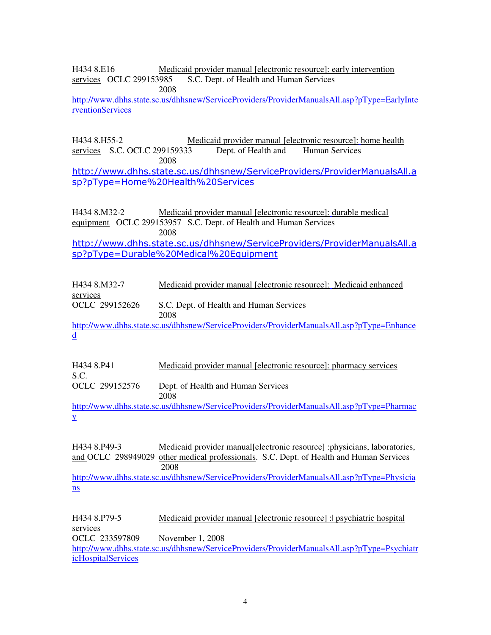H434 8.E16 Medicaid provider manual [electronic resource]: early intervention services OCLC 299153985 S.C. Dept. of Health and Human Services 2008

http://www.dhhs.state.sc.us/dhhsnew/ServiceProviders/ProviderManualsAll.asp?pType=EarlyInte rventionServices

H434 8.H55-2 Medicaid provider manual [electronic resource]: home health services S.C. OCLC 299159333 Dept. of Health and Human Services 2008 http://www.dhhs.state.sc.us/dhhsnew/ServiceProviders/ProviderManualsAll.a sp?pType=Home%20Health%20Services

H434 8.M32-2 Medicaid provider manual [electronic resource]: durable medical equipment OCLC 299153957 S.C. Dept. of Health and Human Services 2008 http://www.dhhs.state.sc.us/dhhsnew/ServiceProviders/ProviderManualsAll.a sp?pType=Durable%20Medical%20Equipment

| H434 8.M32-7   | Medicaid provider manual [electronic resource]: Medicaid enhanced                         |
|----------------|-------------------------------------------------------------------------------------------|
| services       |                                                                                           |
| OCLC 299152626 | S.C. Dept. of Health and Human Services                                                   |
|                | 2008                                                                                      |
|                | http://www.dhhs.state.sc.us/dhhsnew/ServiceProviders/ProviderManualsAll.asp?pType=Enhance |
| $\mathbf{d}$   |                                                                                           |

H434 8.P41 Medicaid provider manual [electronic resource]: pharmacy services S.C. OCLC 299152576 Dept. of Health and Human Services 2008

http://www.dhhs.state.sc.us/dhhsnew/ServiceProviders/ProviderManualsAll.asp?pType=Pharmac y

H434 8.P49-3 Medicaid provider manual[electronic resource] :physicians, laboratories, and OCLC 298949029 other medical professionals. S.C. Dept. of Health and Human Services 2008 http://www.dhhs.state.sc.us/dhhsnew/ServiceProviders/ProviderManualsAll.asp?pType=Physicia ns

H434 8.P79-5 Medicaid provider manual [electronic resource] :| psychiatric hospital services OCLC 233597809 November 1, 2008 http://www.dhhs.state.sc.us/dhhsnew/ServiceProviders/ProviderManualsAll.asp?pType=Psychiatr icHospitalServices